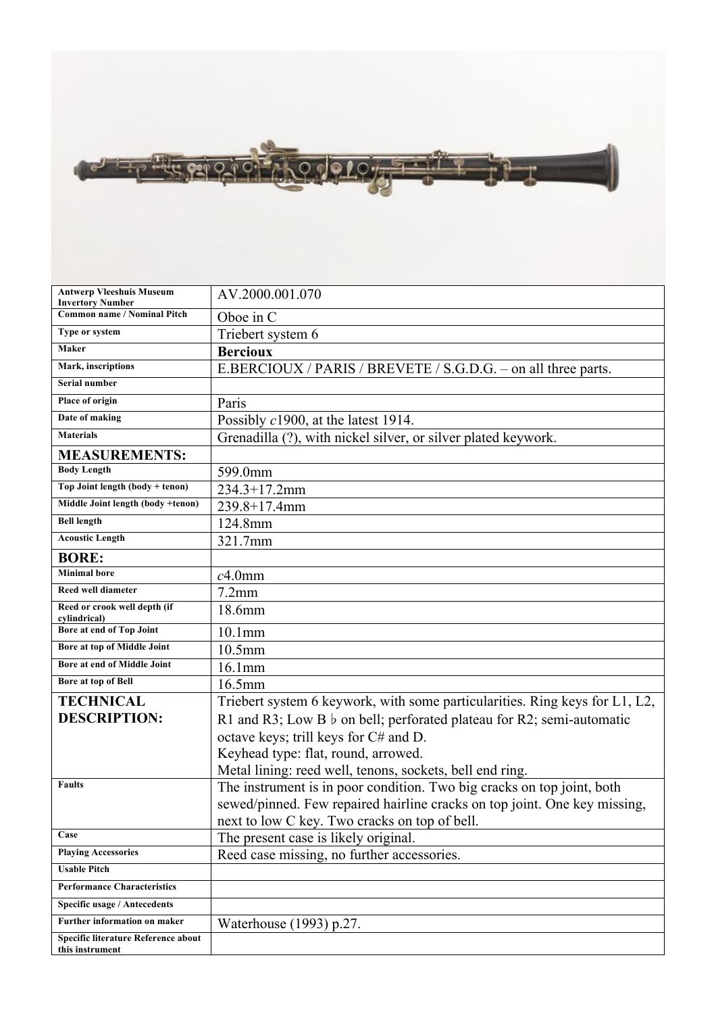

| <b>Antwerp Vleeshuis Museum</b><br><b>Invertory Number</b> | AV.2000.001.070                                                             |
|------------------------------------------------------------|-----------------------------------------------------------------------------|
| <b>Common name / Nominal Pitch</b>                         | Oboe in C                                                                   |
| Type or system                                             | Triebert system 6                                                           |
| Maker                                                      | <b>Bercioux</b>                                                             |
| Mark, inscriptions                                         | E.BERCIOUX / PARIS / BREVETE / S.G.D.G. – on all three parts.               |
| Serial number                                              |                                                                             |
| Place of origin                                            | Paris                                                                       |
| Date of making                                             | Possibly c1900, at the latest 1914.                                         |
| <b>Materials</b>                                           | Grenadilla (?), with nickel silver, or silver plated keywork.               |
| <b>MEASUREMENTS:</b>                                       |                                                                             |
| <b>Body Length</b>                                         | 599.0mm                                                                     |
| Top Joint length (body + tenon)                            | $234.3 + 17.2$ mm                                                           |
| Middle Joint length (body +tenon)                          | 239.8+17.4mm                                                                |
| <b>Bell length</b>                                         | 124.8mm                                                                     |
| <b>Acoustic Length</b>                                     | 321.7mm                                                                     |
| <b>BORE:</b>                                               |                                                                             |
| <b>Minimal bore</b>                                        | $c4.0$ mm                                                                   |
| <b>Reed well diameter</b>                                  | $7.2$ mm                                                                    |
| Reed or crook well depth (if<br>cylindrical)               | 18.6mm                                                                      |
| <b>Bore at end of Top Joint</b>                            | 10.1 <sub>mm</sub>                                                          |
| Bore at top of Middle Joint                                | 10.5mm                                                                      |
| Bore at end of Middle Joint                                | 16.1mm                                                                      |
| Bore at top of Bell                                        | 16.5mm                                                                      |
| <b>TECHNICAL</b>                                           | Triebert system 6 keywork, with some particularities. Ring keys for L1, L2, |
| <b>DESCRIPTION:</b>                                        | R1 and R3; Low B $\flat$ on bell; perforated plateau for R2; semi-automatic |
|                                                            | octave keys; trill keys for C# and D.                                       |
|                                                            | Keyhead type: flat, round, arrowed.                                         |
|                                                            | Metal lining: reed well, tenons, sockets, bell end ring.                    |
| <b>Faults</b>                                              | The instrument is in poor condition. Two big cracks on top joint, both      |
|                                                            | sewed/pinned. Few repaired hairline cracks on top joint. One key missing,   |
|                                                            | next to low C key. Two cracks on top of bell.                               |
| Case                                                       | The present case is likely original.                                        |
| <b>Playing Accessories</b>                                 | Reed case missing, no further accessories.                                  |
| <b>Usable Pitch</b>                                        |                                                                             |
| <b>Performance Characteristics</b>                         |                                                                             |
| <b>Specific usage / Antecedents</b>                        |                                                                             |
| Further information on maker                               | Waterhouse (1993) p.27.                                                     |
| Specific literature Reference about<br>this instrument     |                                                                             |